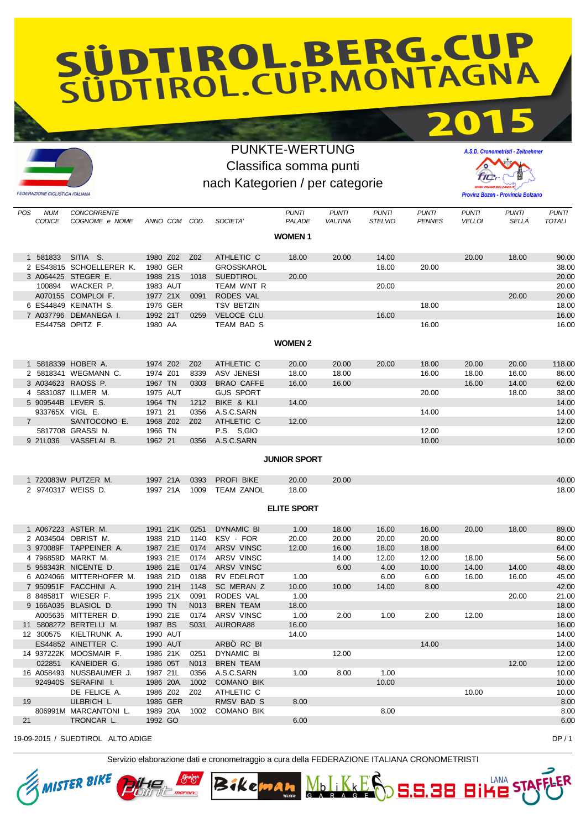## SÜDTIROL.BERG.CUP

## PUNKTE-WERTUNG Classifica somma punti nach Kategorien / per categorie



POS NUM CONCORRENTE PUNTI PUNTI PUNTI PUNTI PUNTI PUNTI PUNTI CODICE COGNOME e NOME ANNO COM COD. SOCIETA' PALADE VALTINA STELVIO PENNES VELLOI SELLA TOTALI **WOMEN 1** 1 581833 SITIA S. 1980 Z02 Z02 ATHLETIC C 18.00 20.00 14.00 20.00 18.00 90.00 2 ES43815 SCHOELLERER K. 1980 GER GROSSKAROL 18.00 20.00 38.00 3 A064425 STEGER E. 1988 21S 1018 SUEDTIROL 20.00 20.00 100894 WACKER P. 1983 AUT TEAM WNT R 20.00 20.00 A070155 COMPLOI F. 1977 21X 0091 RODES VAL 2000 20:00 20:00 20:00 20:00 20:00 6 ES44849 KEINATH S. 1976 GER TSV BETZIN 18.00 18.00 7 A037796 DEMANEGA I. 1992 21T 0259 VELOCE CLU 16.00 16.00 ES44758 OPITZ F. 1980 AA TEAM BAD S 16.00 16.00 **WOMEN 2** 1 5818339 HOBER A. 1974 Z02 Z02 ATHLETIC C 20.00 20.00 20.00 18.00 20.00 20.00 118.00 2 5818341 WEGMANN C. 1974 Z01 8339 ASV JENESI 18.00 18.00 16.00 18.00 16.00 86.00 3 A034623 RAOSS P. 1967 TN 0303 BRAO CAFFE 16.00 16.00 16.00 14.00 62.00 4 5831087 ILLMER M. 1975 AUT GUS SPORT 20.00 18.00 38.00 5 909544B LEVER S. 1964 TN 1212 BIKE & KLI 14.00 14.00 14.00 14.00 14.00 14.00 14.00 14.00 14.00 14.00 14.00 14.00 14.00 14.00 14.00 14.00 14.00 14.00 14.00 14.00 14.00 14.00 14.00 14.00 14.00 14.00 14.00 14.00 14.00 14.00 933765X VIGL E. 1971 21 0356 A.S.C.SARN 14.00 14.00 **5ANTOCONO E.** 1968 Z02 Z02 ATHLETIC C 12.00 12.00 12.00 12.00 12.00 12.00 12.00 12.00 12.00 12.00 12.00 12.00 12.00 5817708 GRASSI N. 1966 TN P.S. S,GIO 12.00 12.00 9 21L036 VASSELAI B. 1962 21 0356 A.S.C.SARN 10.00 10.00 **JUNIOR SPORT** 1 720083W PUTZER M. 1997 21A 0393 PROFI BIKE 20.00 20.00 40.00 2 9740317 WEISS D. 1997 21A 1009 TEAM ZANOL 18.00 18.00 18.00 18.00 18.00 **ELITE SPORT** 1 A067223 ASTER M. 1991 21K 0251 DYNAMIC BI 1.00 18.00 16.00 16.00 20.00 18.00 89.00 2 A034504 OBRIST M. 1988 21D 1140 KSV - FOR 20.00 20.00 20.00 20.00 80.00 3 970089F TAPPEINER A. 1987 21E 0174 ARSV VINSC 12.00 16.00 18.00 18.00 64.00 4 796859D MARKT M. 1993 21E 0174 ARSV VINSC 14.00 12.00 12.00 18.00 56.00 5 958343R NICENTE D. 1986 21E 0174 ARSV VINSC 6.00 4.00 10.00 14.00 14.00 48.00 6 A024066 MITTERHOFER M. 1988 21D 0188 RV EDELROT 1.00 6.00 6.00 16.00 16.00 45.00 7 950951F FACCHINI A. 1990 21H 1148 SC MERAN Z 10.00 10.00 14.00 8.00 42.00 8 848581T WIESER F. 1995 21X 0091 RODES VAL 1.00 20.00 21.00 9 166A035 BLASIOL D. 1990 TN N013 BREN TEAM 18.00 18.00 166A035 BLASIOL 20.00 18.00 A005635 MITTERER D. 1990 21E 0174 ARSV VINSC 1.00 2.00 1.00 2.00 12.00 18.00 11 5808272 BERTELLI M. 1987 BS S031 AURORA88 16.00 16.00 12 300575 KIELTRUNK A. 1990 AUT 14.00 14.00 14.00 14.00 14.00 14.00 14.00 14.00 14.00 14.00 14.00 14.00 14.00 ES44852 AINETTER C. 1990 AUT ARBÖ RC BI 14.00 14.00 14.00 14.00 14.00 14 937222K MOOSMAIR F. 1986 21K 0251 DYNAMIC BI 12.00 12.00 022851 KANEIDER G. 1986 05T N013 BREN TEAM 12.00 12.00 12.00 12.00 12.00 12.00 12.00 12.00 12.00 12.00 12.00 1 16 A058493 NUSSBAUMER J. 1987 21L 0356 A.S.C.SARN 1.00 8.00 1.00 10.00 924940S SERAFINI I. 1986 20A 1002 COMANO BIK 10.00 10.00 10.00 10.00 10.00 10.00 10.00 DE FELICE A. 1986 Z02 Z02 ATHLETIC C 10.00 10.00 19 ULBRICH L. 1986 GER RMSV BAD S 8.00 8.00 806991M MARCANTONI L. 1989 20A 1002 COMANO BIK 8.00 8.00 8.00 8.00 8.00 8.00 8.00 21 TRONCAR L. 1992 GO 6.00 6.00 19-09-2015 / SUEDTIROL ALTO ADIGE **DE 2016 CONTRACTES AND A CONTRACTES AND A CONTRACTES AND A CONTRACTES AND PR** / 1

Servizio elaborazione dati e cronometraggio a cura della FEDERAZIONE ITALIANA CRONOMETRISTI



**FEDERAZIONE CICLISTICA ITALIANA** 



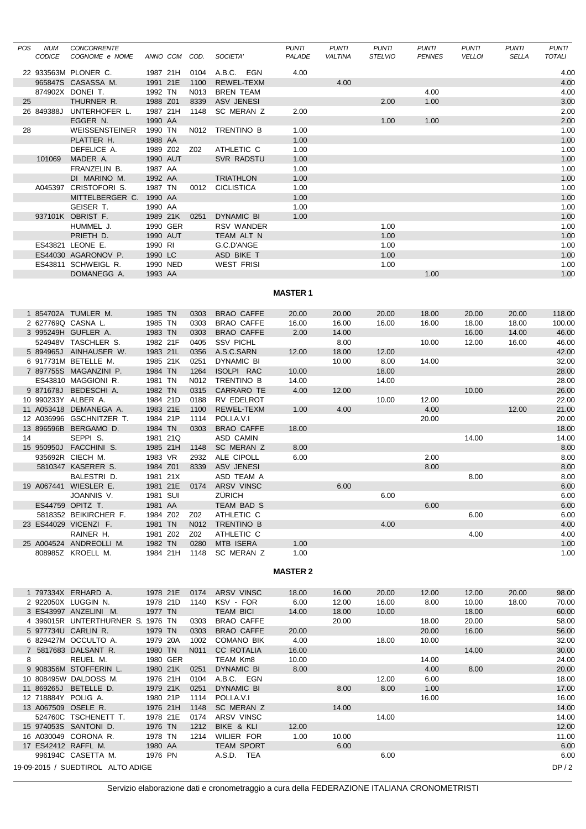| POS | <b>NUM</b>    | <b>CONCORRENTE</b>                |          |               |      |                   | <b>PUNTI</b>    | <b>PUNTI</b>   | <b>PUNTI</b>   | <b>PUNTI</b>  | <b>PUNTI</b>  | <b>PUNTI</b> | <b>PUNTI</b>  |
|-----|---------------|-----------------------------------|----------|---------------|------|-------------------|-----------------|----------------|----------------|---------------|---------------|--------------|---------------|
|     | <b>CODICE</b> | COGNOME e NOME                    |          | ANNO COM COD. |      | SOCIETA'          | PALADE          | <b>VALTINA</b> | <b>STELVIO</b> | <b>PENNES</b> | <b>VELLOI</b> | <b>SELLA</b> | <b>TOTALI</b> |
|     |               | 22 933563M PLONER C.              |          | 1987 21H      | 0104 | A.B.C. EGN        | 4.00            |                |                |               |               |              | 4.00          |
|     |               | 965847S CASASSA M.                | 1991 21E |               | 1100 | <b>REWEL-TEXM</b> |                 | 4.00           |                |               |               |              | 4.00          |
|     |               | 874902X DONEI T.                  | 1992 TN  |               | N013 | <b>BREN TEAM</b>  |                 |                |                | 4.00          |               |              | 4.00          |
| 25  |               | THURNER R.                        | 1988 Z01 |               | 8339 | <b>ASV JENESI</b> |                 |                | 2.00           | 1.00          |               |              | 3.00          |
|     |               | 26 849388J UNTERHOFER L.          | 1987 21H |               | 1148 | SC MERAN Z        | 2.00            |                |                |               |               |              | 2.00          |
|     |               | EGGER N.                          | 1990 AA  |               |      |                   |                 |                | 1.00           | 1.00          |               |              | 2.00          |
| 28  |               | WEISSENSTEINER                    | 1990 TN  |               | N012 | TRENTINO B        | 1.00            |                |                |               |               |              | 1.00          |
|     |               | PLATTER H.                        | 1988 AA  |               |      |                   | 1.00            |                |                |               |               |              | 1.00          |
|     |               | DEFELICE A.                       |          | 1989 Z02      | Z02  | ATHLETIC C        | 1.00            |                |                |               |               |              | 1.00          |
|     | 101069        | MADER A.                          |          | 1990 AUT      |      | <b>SVR RADSTU</b> | 1.00            |                |                |               |               |              | 1.00          |
|     |               | FRANZELIN B.                      | 1987 AA  |               |      |                   | 1.00            |                |                |               |               |              | 1.00          |
|     |               | DI MARINO M.                      | 1992 AA  |               |      | <b>TRIATHLON</b>  | 1.00            |                |                |               |               |              | 1.00          |
|     |               | A045397 CRISTOFORI S.             | 1987 TN  |               | 0012 | <b>CICLISTICA</b> | 1.00            |                |                |               |               |              | 1.00          |
|     |               | MITTELBERGER C.                   | 1990 AA  |               |      |                   | 1.00            |                |                |               |               |              | 1.00          |
|     |               | GEISER T.                         | 1990 AA  |               |      |                   | 1.00            |                |                |               |               |              | 1.00          |
|     |               | 937101K OBRIST F.                 |          | 1989 21K      | 0251 | DYNAMIC BI        | 1.00            |                |                |               |               |              | 1.00          |
|     |               | HUMMEL J.                         |          | 1990 GER      |      | <b>RSV WANDER</b> |                 |                | 1.00           |               |               |              | 1.00          |
|     |               | PRIETH D.                         |          | 1990 AUT      |      | TEAM ALT N        |                 |                | 1.00           |               |               |              | 1.00          |
|     |               | ES43821 LEONE E.                  | 1990 RI  |               |      | G.C.D'ANGE        |                 |                | 1.00           |               |               |              | 1.00          |
|     |               | ES44030 AGARONOV P.               | 1990 LC  |               |      | ASD BIKE T        |                 |                | 1.00           |               |               |              | 1.00          |
|     |               | ES43811 SCHWEIGL R.               |          | 1990 NED      |      | <b>WEST FRISI</b> |                 |                | 1.00           |               |               |              | 1.00          |
|     |               | DOMANEGG A.                       | 1993 AA  |               |      |                   |                 |                |                | 1.00          |               |              | 1.00          |
|     |               |                                   |          |               |      |                   |                 |                |                |               |               |              |               |
|     |               |                                   |          |               |      |                   | <b>MASTER 1</b> |                |                |               |               |              |               |
|     |               |                                   |          |               |      |                   |                 |                |                |               |               |              |               |
|     |               | 1 854702A TUMLER M.               | 1985 TN  |               | 0303 | <b>BRAO CAFFE</b> | 20.00           | 20.00          | 20.00          | 18.00         | 20.00         | 20.00        | 118.00        |
|     |               | 2 627769Q CASNA L.                | 1985 TN  |               | 0303 | <b>BRAO CAFFE</b> | 16.00           | 16.00          | 16.00          | 16.00         | 18.00         | 18.00        | 100.00        |
|     |               | 3 995249H GUFLER A.               | 1983 TN  |               | 0303 | <b>BRAO CAFFE</b> | 2.00            | 14.00          |                |               | 16.00         | 14.00        | 46.00         |
|     |               | 524948V TASCHLER S.               | 1982 21F |               | 0405 | <b>SSV PICHL</b>  |                 | 8.00           |                | 10.00         | 12.00         | 16.00        | 46.00         |
|     |               | 5 894965J AINHAUSER W.            | 1983 21L |               | 0356 | A.S.C.SARN        | 12.00           | 18.00          | 12.00          |               |               |              | 42.00         |
|     |               | 6 917731M BETELLE M.              |          | 1985 21K      | 0251 | DYNAMIC BI        |                 | 10.00          | 8.00           | 14.00         |               |              | 32.00         |
|     |               | 7 897755S MAGANZINI P.            | 1984 TN  |               | 1264 | ISOLPI RAC        | 10.00           |                | 18.00          |               |               |              | 28.00         |
|     |               | ES43810 MAGGIONI R.               | 1981 TN  |               | N012 | TRENTINO B        | 14.00           |                | 14.00          |               |               |              | 28.00         |
|     |               | 9 871678J BEDESCHI A.             | 1982 TN  |               | 0315 | CARRARO TE        | 4.00            | 12.00          |                |               | 10.00         |              | 26.00         |
|     |               | 10 990233Y ALBER A.               | 1984 21D |               | 0188 | RV EDELROT        |                 |                | 10.00          | 12.00         |               |              | 22.00         |
|     |               | 11 A053418 DEMANEGA A.            | 1983 21E |               | 1100 | REWEL-TEXM        | 1.00            | 4.00           |                | 4.00          |               | 12.00        | 21.00         |
|     |               | 12 A036996 GSCHNITZER T.          | 1984 21P |               | 1114 | POLI.A.V.I        |                 |                |                | 20.00         |               |              | 20.00         |
|     |               | 13 896596B BERGAMO D.             | 1984 TN  |               | 0303 | <b>BRAO CAFFE</b> | 18.00           |                |                |               |               |              | 18.00         |
| 14  |               | SEPPI S.                          |          | 1981 21Q      |      | ASD CAMIN         |                 |                |                |               | 14.00         |              | 14.00         |
|     |               | 15 950950J FACCHINI S.            |          | 1985 21H      | 1148 | SC MERAN Z        | 8.00            |                |                |               |               |              | 8.00          |
|     |               | 935692R CIECH M.                  | 1983 VR  |               | 2932 | ALE CIPOLL        | 6.00            |                |                | 2.00          |               |              | 8.00          |
|     |               | 5810347 KASERER S.                | 1984 Z01 |               | 8339 | <b>ASV JENESI</b> |                 |                |                | 8.00          |               |              | 8.00          |
|     |               | BALESTRI D.                       |          | 1981 21X      |      | ASD TEAM A        |                 |                |                |               | 8.00          |              | 8.00          |
|     |               | 19 A067441 WIESLER E.             | 1981 21E |               | 0174 | ARSV VINSC        |                 | 6.00           |                |               |               |              | 6.00          |
|     |               | JOANNIS V.                        | 1981 SUI |               |      | ZÜRICH            |                 |                | 6.00           |               |               |              | 6.00          |
|     |               | ES44759 OPITZ T.                  | 1981 AA  |               |      | TEAM BAD S        |                 |                |                | 6.00          |               |              | 6.00          |
|     |               | 5818352 BEIKIRCHER F.             | 1984 Z02 |               | Z02  | ATHLETIC C        |                 |                |                |               | 6.00          |              | 6.00          |
|     |               | 23 ES44029 VICENZI F.             | 1981 TN  |               | N012 | TRENTINO B        |                 |                | 4.00           |               |               |              | 4.00          |
|     |               | RAINER H.                         | 1981 Z02 |               | Z02  | ATHLETIC C        |                 |                |                |               | 4.00          |              | 4.00          |
|     |               | 25 A004524 ANDREOLLI M.           | 1982 TN  |               | 0280 | MTB ISERA         | 1.00            |                |                |               |               |              | 1.00          |
|     |               | 808985Z KROELL M.                 |          | 1984 21H      | 1148 | SC MERAN Z        | 1.00            |                |                |               |               |              | 1.00          |
|     |               |                                   |          |               |      |                   |                 |                |                |               |               |              |               |
|     |               |                                   |          |               |      |                   | <b>MASTER 2</b> |                |                |               |               |              |               |
|     |               |                                   |          |               |      |                   |                 |                |                |               |               |              |               |
|     |               | 1 797334X ERHARD A.               |          | 1978 21E      | 0174 | ARSV VINSC        | 18.00           | 16.00          | 20.00          | 12.00         | 12.00         | 20.00        | 98.00         |
|     |               | 2 922050X LUGGIN N.               |          | 1978 21D      | 1140 | KSV - FOR         | 6.00            | 12.00          | 16.00          | 8.00          | 10.00         | 18.00        | 70.00         |
|     |               | 3 ES43997 ANZELINI M.             | 1977 TN  |               |      | <b>TEAM BICI</b>  | 14.00           | 18.00          | 10.00          |               | 18.00         |              | 60.00         |
|     |               | 4 396015R UNTERTHURNER S. 1976 TN |          |               | 0303 | <b>BRAO CAFFE</b> |                 | 20.00          |                | 18.00         | 20.00         |              | 58.00         |
|     |               | 5 977734U CARLIN R.               | 1979 TN  |               | 0303 | <b>BRAO CAFFE</b> | 20.00           |                |                | 20.00         | 16.00         |              | 56.00         |
|     |               | 6 829427M OCCULTO A.              | 1979 20A |               | 1002 | COMANO BIK        | 4.00            |                | 18.00          | 10.00         |               |              | 32.00         |
|     |               | 7 5817683 DALSANT R.              | 1980 TN  |               | N011 | <b>CC ROTALIA</b> | 16.00           |                |                |               | 14.00         |              | 30.00         |
| 8   |               | REUEL M.                          |          | 1980 GER      |      | TEAM Km8          | 10.00           |                |                | 14.00         |               |              | 24.00         |
|     |               | 9 908356M STOFFERIN L.            |          | 1980 21K      | 0251 | DYNAMIC BI        | 8.00            |                |                | 4.00          | 8.00          |              | 20.00         |
|     |               | 10 808495W DALDOSS M.             |          | 1976 21H      | 0104 | A.B.C. EGN        |                 |                | 12.00          | 6.00          |               |              | 18.00         |
|     |               | 11 869265J BETELLE D.             |          | 1979 21K      | 0251 | DYNAMIC BI        |                 | 8.00           | 8.00           | 1.00          |               |              | 17.00         |
|     |               | 12 718884Y POLIG A.               | 1980 21P |               | 1114 | POLI.A.V.I        |                 |                |                | 16.00         |               |              | 16.00         |
|     |               | 13 A067509 OSELE R.               |          | 1976 21H      | 1148 | SC MERAN Z        |                 | 14.00          |                |               |               |              | 14.00         |
|     |               | 524760C TSCHENETT T.              | 1978 21E |               | 0174 | ARSV VINSC        |                 |                | 14.00          |               |               |              | 14.00         |
|     |               | 15 974053S SANTONI D.             | 1976 TN  |               | 1212 | BIKE & KLI        | 12.00           |                |                |               |               |              | 12.00         |
|     |               | 16 A030049 CORONA R.              | 1978 TN  |               | 1214 | WILIER FOR        | 1.00            | 10.00          |                |               |               |              | 11.00         |
|     |               | 17 ES42412 RAFFL M.               | 1980 AA  |               |      | <b>TEAM SPORT</b> |                 | 6.00           |                |               |               |              | 6.00          |
|     |               | 996194C CASETTA M.                | 1976 PN  |               |      | A.S.D. TEA        |                 |                | 6.00           |               |               |              | 6.00          |
|     |               | 19-09-2015 / SUEDTIROL ALTO ADIGE |          |               |      |                   |                 |                |                |               |               |              | DP/2          |
|     |               |                                   |          |               |      |                   |                 |                |                |               |               |              |               |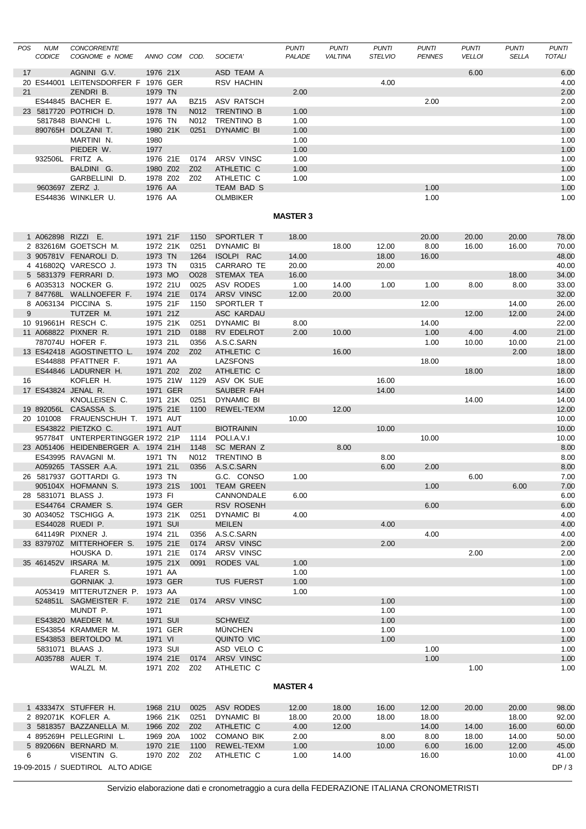| POS | <b>NUM</b><br><b>CODICE</b> | <b>CONCORRENTE</b><br>COGNOME e NOME               |          | ANNO COM COD. |               | SOCIETA'                        | <b>PUNTI</b><br>PALADE | <b>PUNTI</b><br><b>VALTINA</b> | <b>PUNTI</b><br><b>STELVIO</b> | <b>PUNTI</b><br><b>PENNES</b> | <b>PUNTI</b><br><b>VELLOI</b> | <b>PUNTI</b><br><b>SELLA</b> | <b>PUNTI</b><br><b>TOTALI</b> |
|-----|-----------------------------|----------------------------------------------------|----------|---------------|---------------|---------------------------------|------------------------|--------------------------------|--------------------------------|-------------------------------|-------------------------------|------------------------------|-------------------------------|
|     |                             |                                                    |          |               |               |                                 |                        |                                |                                |                               |                               |                              |                               |
| 17  |                             | AGNINI G.V.<br>20 ES44001 LEITENSDORFER F 1976 GER | 1976 21X |               |               | ASD TEAM A<br>RSV HACHIN        |                        |                                | 4.00                           |                               | 6.00                          |                              | 6.00<br>4.00                  |
| 21  |                             | ZENDRI B.                                          | 1979 TN  |               |               |                                 | 2.00                   |                                |                                |                               |                               |                              | 2.00                          |
|     |                             | ES44845 BACHER E.                                  | 1977 AA  |               | <b>BZ15</b>   | ASV RATSCH                      |                        |                                |                                | 2.00                          |                               |                              | 2.00                          |
|     |                             | 23 5817720 POTRICH D.                              | 1978 TN  |               | N012          | TRENTINO B                      | 1.00                   |                                |                                |                               |                               |                              | 1.00                          |
|     |                             | 5817848 BIANCHI L.                                 | 1976 TN  |               | N012          | TRENTINO B                      | 1.00                   |                                |                                |                               |                               |                              | 1.00                          |
|     |                             | 890765H DOLZANI T.                                 | 1980 21K |               | 0251          | <b>DYNAMIC BI</b>               | 1.00                   |                                |                                |                               |                               |                              | 1.00                          |
|     |                             | MARTINI N.                                         | 1980     |               |               |                                 | 1.00                   |                                |                                |                               |                               |                              | 1.00                          |
|     |                             | PIEDER W.                                          | 1977     |               |               |                                 | 1.00                   |                                |                                |                               |                               |                              | 1.00                          |
|     |                             | 932506L FRITZ A.                                   | 1976 21E |               | 0174          | ARSV VINSC                      | 1.00                   |                                |                                |                               |                               |                              | 1.00                          |
|     |                             | BALDINI G.                                         | 1980 Z02 |               | Z02           | ATHLETIC C                      | 1.00                   |                                |                                |                               |                               |                              | 1.00                          |
|     |                             | GARBELLINI D.                                      | 1978 Z02 |               | Z02           | ATHLETIC C                      | 1.00                   |                                |                                |                               |                               |                              | 1.00                          |
|     | 9603697 ZERZ J.             |                                                    | 1976 AA  |               |               | TEAM BAD S                      |                        |                                |                                | 1.00                          |                               |                              | 1.00                          |
|     |                             | ES44836 WINKLER U.                                 | 1976 AA  |               |               | <b>OLMBIKER</b>                 |                        |                                |                                | 1.00                          |                               |                              | 1.00                          |
|     |                             |                                                    |          |               |               |                                 | <b>MASTER 3</b>        |                                |                                |                               |                               |                              |                               |
|     |                             |                                                    |          |               |               |                                 |                        |                                |                                |                               |                               |                              |                               |
|     |                             | 1 A062898 RIZZI E.                                 | 1971 21F |               | 1150          | SPORTLER T                      | 18.00                  |                                |                                | 20.00                         | 20.00                         | 20.00                        | 78.00                         |
|     |                             | 2 832616M GOETSCH M.                               | 1972 21K |               | 0251          | DYNAMIC BI                      |                        | 18.00                          | 12.00                          | 8.00                          | 16.00                         | 16.00                        | 70.00                         |
|     |                             | 3 905781V FENAROLI D.                              | 1973 TN  |               | 1264          | ISOLPI RAC                      | 14.00                  |                                | 18.00                          | 16.00                         |                               |                              | 48.00                         |
|     |                             | 4 416802Q VARESCO J.                               | 1973 TN  |               | 0315          | CARRARO TE                      | 20.00                  |                                | 20.00                          |                               |                               |                              | 40.00                         |
|     |                             | 5 5831379 FERRARI D.                               | 1973 MO  |               | O028          | <b>STEMAX TEA</b>               | 16.00                  |                                |                                |                               |                               | 18.00                        | 34.00                         |
|     |                             | 6 A035313 NOCKER G.                                | 1972 21U |               | 0025          | <b>ASV RODES</b>                | 1.00                   | 14.00                          | 1.00                           | 1.00                          | 8.00                          | 8.00                         | 33.00                         |
|     |                             | 7 847768L WALLNOEFER F.                            | 1974 21E |               | 0174          | ARSV VINSC                      | 12.00                  | 20.00                          |                                |                               |                               |                              | 32.00                         |
|     |                             | 8 A063134 PICCINA S.                               | 1975 21F |               | 1150          | SPORTLER T                      |                        |                                |                                | 12.00                         |                               | 14.00                        | 26.00                         |
| 9   |                             | TUTZER M.                                          | 1971 21Z |               |               | <b>ASC KARDAU</b>               |                        |                                |                                |                               | 12.00                         | 12.00                        | 24.00                         |
|     |                             | 10 919661H RESCH C.                                | 1975 21K |               | 0251          | DYNAMIC BI                      | 8.00                   |                                |                                | 14.00                         |                               |                              | 22.00                         |
|     |                             | 11 A068822 PIXNER R.                               | 1971 21D |               | 0188          | RV EDELROT                      | 2.00                   | 10.00                          |                                | 1.00                          | 4.00                          | 4.00                         | 21.00                         |
|     |                             | 787074U HOFER F.                                   | 1973 21L |               | 0356          | A.S.C.SARN                      |                        |                                |                                | 1.00                          | 10.00                         | 10.00                        | 21.00                         |
|     |                             | 13 ES42418 AGOSTINETTO L.                          | 1974 Z02 |               | Z02           | ATHLETIC C                      |                        | 16.00                          |                                |                               |                               | 2.00                         | 18.00                         |
|     |                             | ES44888 PFATTNER F.                                | 1971 AA  |               |               | <b>LAZSFONS</b>                 |                        |                                |                                | 18.00                         |                               |                              | 18.00                         |
|     |                             | ES44846 LADURNER H.                                | 1971 Z02 |               | Z02           | ATHLETIC C                      |                        |                                |                                |                               | 18.00                         |                              | 18.00                         |
| 16  |                             | KOFLER H.                                          |          | 1975 21W      | 1129          | ASV OK SUE                      |                        |                                | 16.00                          |                               |                               |                              | 16.00                         |
|     |                             | 17 ES43824 JENAL R.                                |          | 1971 GER      |               | SAUBER FAH                      |                        |                                | 14.00                          |                               |                               |                              | 14.00                         |
|     |                             | KNOLLEISEN C.                                      | 1971 21K |               | 0251          | DYNAMIC BI                      |                        |                                |                                |                               | 14.00                         |                              | 14.00                         |
|     |                             | 19 892056L CASASSA S.                              | 1975 21E |               | 1100          | REWEL-TEXM                      |                        | 12.00                          |                                |                               |                               |                              | 12.00                         |
|     | 20 101008                   | FRAUENSCHUH T.                                     | 1971 AUT |               |               |                                 | 10.00                  |                                |                                |                               |                               |                              | 10.00                         |
|     |                             | ES43822 PIETZKO C.                                 |          | 1971 AUT      |               | <b>BIOTRAININ</b>               |                        |                                | 10.00                          |                               |                               |                              | 10.00                         |
|     |                             | 957784T UNTERPERTINGGER 1972 21P                   |          |               | 1114          | POLI.A.V.I                      |                        |                                |                                | 10.00                         |                               |                              | 10.00                         |
|     |                             | 23 A051406 HEIDENBERGER A. 1974 21H                |          |               | 1148          | SC MERAN Z                      |                        | 8.00                           |                                |                               |                               |                              | 8.00                          |
|     |                             | ES43995 RAVAGNI M.                                 | 1971 TN  |               | N012          | TRENTINO B                      |                        |                                | 8.00                           |                               |                               |                              | 8.00                          |
|     |                             | A059265 TASSER A.A.                                | 1971 21L |               | 0356          | A.S.C.SARN                      |                        |                                | 6.00                           | 2.00                          |                               |                              | 8.00                          |
|     |                             | 26 5817937 GOTTARDI G.                             | 1973 TN  |               |               | G.C. CONSO                      | 1.00                   |                                |                                | 1.00                          | 6.00                          |                              | 7.00<br>7.00                  |
|     |                             | 905104X HOFMANN S.                                 |          |               | 1973 21S 1001 | <b>TEAM GREEN</b>               | 6.00                   |                                |                                |                               |                               | 6.00                         |                               |
|     |                             | 28 5831071 BLASS J.<br>ES44764 CRAMER S.           | 1973 FI  | 1974 GER      |               | CANNONDALE<br><b>RSV ROSENH</b> |                        |                                |                                | 6.00                          |                               |                              | 6.00<br>6.00                  |
|     |                             | 30 A034052 TSCHIGG A.                              |          | 1973 21K      | 0251          | DYNAMIC BI                      | 4.00                   |                                |                                |                               |                               |                              | 4.00                          |
|     |                             | ES44028 RUEDI P.                                   | 1971 SUI |               |               | <b>MEILEN</b>                   |                        |                                | 4.00                           |                               |                               |                              | 4.00                          |
|     |                             | 641149R PIXNER J.                                  | 1974 21L |               | 0356          | A.S.C.SARN                      |                        |                                |                                | 4.00                          |                               |                              | 4.00                          |
|     |                             | 33 837970Z MITTERHOFER S.                          | 1975 21E |               | 0174          | ARSV VINSC                      |                        |                                | 2.00                           |                               |                               |                              | 2.00                          |
|     |                             | HOUSKA D.                                          | 1971 21E |               | 0174          | ARSV VINSC                      |                        |                                |                                |                               | 2.00                          |                              | 2.00                          |
|     |                             | 35 461452V IRSARA M.                               | 1975 21X |               | 0091          | RODES VAL                       | 1.00                   |                                |                                |                               |                               |                              | 1.00                          |
|     |                             | FLARER S.                                          | 1971 AA  |               |               |                                 | 1.00                   |                                |                                |                               |                               |                              | 1.00                          |
|     |                             | GORNIAK J.                                         |          | 1973 GER      |               | <b>TUS FUERST</b>               | 1.00                   |                                |                                |                               |                               |                              | 1.00                          |
|     |                             | A053419 MITTERUTZNER P. 1973 AA                    |          |               |               |                                 | 1.00                   |                                |                                |                               |                               |                              | 1.00                          |
|     |                             | 524851L SAGMEISTER F.                              |          |               | 1972 21E 0174 | <b>ARSV VINSC</b>               |                        |                                | 1.00                           |                               |                               |                              | 1.00                          |
|     |                             | MUNDT P.                                           | 1971     |               |               |                                 |                        |                                | 1.00                           |                               |                               |                              | 1.00                          |
|     |                             | ES43820 MAEDER M.                                  | 1971 SUI |               |               | <b>SCHWEIZ</b>                  |                        |                                | 1.00                           |                               |                               |                              | 1.00                          |
|     |                             | ES43854 KRAMMER M.                                 |          | 1971 GER      |               | <b>MUNCHEN</b>                  |                        |                                | 1.00                           |                               |                               |                              | 1.00                          |
|     |                             | ES43853 BERTOLDO M.                                | 1971 VI  |               |               | QUINTO VIC                      |                        |                                | 1.00                           |                               |                               |                              | 1.00                          |
|     |                             | 5831071 BLAAS J.                                   | 1973 SUI |               |               | ASD VELO C                      |                        |                                |                                | 1.00                          |                               |                              | 1.00                          |
|     |                             | A035788 AUER T.                                    | 1974 21E |               | 0174          | ARSV VINSC                      |                        |                                |                                | 1.00                          |                               |                              | 1.00                          |
|     |                             | WALZL M.                                           |          | 1971 Z02 Z02  |               | ATHLETIC C                      |                        |                                |                                |                               | 1.00                          |                              | 1.00                          |
|     |                             |                                                    |          |               |               |                                 | <b>MASTER 4</b>        |                                |                                |                               |                               |                              |                               |
|     |                             |                                                    |          |               |               |                                 |                        |                                |                                |                               |                               |                              |                               |
|     |                             | 1 433347X STUFFER H.                               |          | 1968 21U      | 0025          | ASV RODES                       | 12.00                  | 18.00                          | 16.00                          | 12.00                         | 20.00                         | 20.00                        | 98.00                         |
|     |                             | 2 892071K KOFLER A.                                |          | 1966 21K      | 0251          | DYNAMIC BI                      | 18.00                  | 20.00                          | 18.00                          | 18.00                         |                               | 18.00                        | 92.00                         |
|     |                             | 3 5818357 BAZZANELLA M.                            | 1966 Z02 |               | Z02           | ATHLETIC C                      | 4.00                   | 12.00                          |                                | 14.00                         | 14.00                         | 16.00                        | 60.00                         |
|     |                             | 4 895269H PELLEGRINI L.                            | 1969 20A |               | 1002          | <b>COMANO BIK</b>               | 2.00                   |                                | 8.00                           | 8.00                          | 18.00                         | 14.00                        | 50.00                         |
|     |                             | 5 892066N BERNARD M.                               | 1970 21E |               | 1100          | REWEL-TEXM                      | 1.00                   |                                | 10.00                          | 6.00                          | 16.00                         | 12.00                        | 45.00                         |
| 6   |                             | VISENTIN G.                                        |          | 1970 Z02 Z02  |               | ATHLETIC C                      | 1.00                   | 14.00                          |                                | 16.00                         |                               | 10.00                        | 41.00                         |
|     |                             | 19-09-2015 / SUEDTIROL ALTO ADIGE                  |          |               |               |                                 |                        |                                |                                |                               |                               |                              | DP/3                          |

Servizio elaborazione dati e cronometraggio a cura della FEDERAZIONE ITALIANA CRONOMETRISTI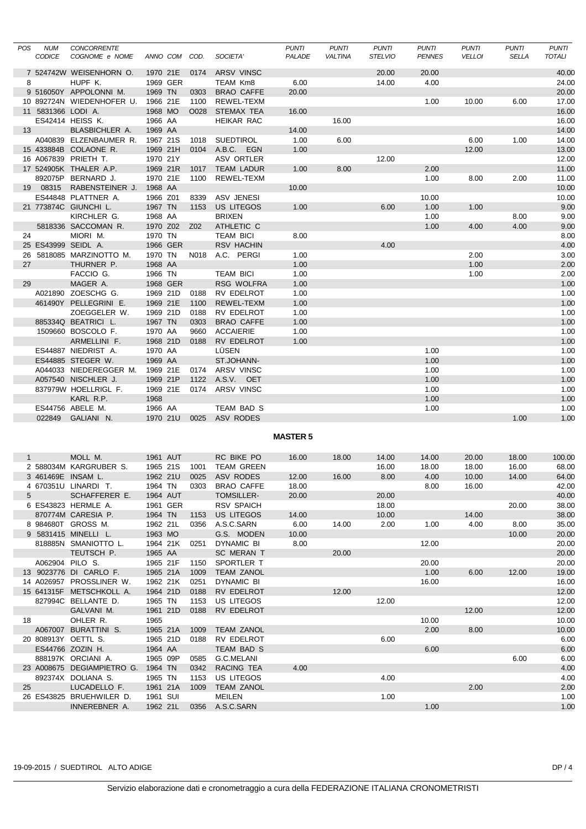| <b>POS</b>   | <b>NUM</b>         | <b>CONCORRENTE</b>                           |                     |          |              |                                 | <b>PUNTI</b>    | <b>PUNTI</b>   | <b>PUNTI</b>   | <b>PUNTI</b>  | <b>PUNTI</b>  | <b>PUNTI</b> | <b>PUNTI</b>   |
|--------------|--------------------|----------------------------------------------|---------------------|----------|--------------|---------------------------------|-----------------|----------------|----------------|---------------|---------------|--------------|----------------|
|              | <b>CODICE</b>      | COGNOME e NOME                               |                     | ANNO COM | COD.         | SOCIETA'                        | PALADE          | <b>VALTINA</b> | <b>STELVIO</b> | <b>PENNES</b> | <b>VELLOI</b> | <b>SELLA</b> | TOTALI         |
|              |                    | 7 524742W WEISENHORN O.                      | 1970 21E            |          | 0174         | ARSV VINSC                      |                 |                | 20.00          | 20.00         |               |              | 40.00          |
| 8            |                    | HUPF K.                                      |                     | 1969 GER |              | TEAM Km8                        | 6.00            |                | 14.00          | 4.00          |               |              | 24.00          |
|              |                    | 9 516050Y APPOLONNI M.                       | 1969 TN             |          | 0303         | <b>BRAO CAFFE</b>               | 20.00           |                |                |               |               |              | 20.00          |
|              |                    | 10 892724N WIEDENHOFER U.                    | 1966 21E            |          | 1100         | REWEL-TEXM                      |                 |                |                | 1.00          | 10.00         | 6.00         | 17.00          |
|              | 11 5831366 LODI A. |                                              | 1968 MO             |          | O028         | <b>STEMAX TEA</b>               | 16.00           |                |                |               |               |              | 16.00          |
|              |                    | ES42414 HEISS K.                             | 1966 AA             |          |              | <b>HEIKAR RAC</b>               |                 | 16.00          |                |               |               |              | 16.00          |
| 13           |                    | BLASBICHLER A.                               | 1969 AA             |          |              |                                 | 14.00           |                |                |               |               |              | 14.00          |
|              |                    | A040839 ELZENBAUMER R.                       | 1967 21S            |          | 1018         | <b>SUEDTIROL</b>                | 1.00            | 6.00           |                |               | 6.00          | 1.00         | 14.00          |
|              |                    | 15 433884B COLAONE R.                        | 1969 21H            |          | 0104         | A.B.C. EGN                      | 1.00            |                |                |               | 12.00         |              | 13.00          |
|              |                    | 16 A067839 PRIETH T.                         | 1970 21Y            |          |              | ASV ORTLER                      |                 |                | 12.00          |               |               |              | 12.00          |
|              |                    | 17 524905K THALER A.P.                       | 1969 21R            |          | 1017         | <b>TEAM LADUR</b>               | 1.00            | 8.00           |                | 2.00          |               |              | 11.00          |
|              |                    | 892075P BERNARD J.                           | 1970 21E            |          | 1100         | REWEL-TEXM                      |                 |                |                | 1.00          | 8.00          | 2.00         | 11.00          |
|              |                    | 19 08315 RABENSTEINER J.                     | 1968 AA             |          |              |                                 | 10.00           |                |                |               |               |              | 10.00          |
|              |                    | ES44848 PLATTNER A.<br>21 773874C GIUNCHI L. | 1966 Z01<br>1967 TN |          | 8339<br>1153 | <b>ASV JENESI</b><br>US LITEGOS | 1.00            |                | 6.00           | 10.00<br>1.00 | 1.00          |              | 10.00<br>9.00  |
|              |                    | KIRCHLER G.                                  | 1968 AA             |          |              | <b>BRIXEN</b>                   |                 |                |                | 1.00          |               | 8.00         | 9.00           |
|              |                    | 5818336 SACCOMAN R.                          | 1970 Z02            |          | Z02          | ATHLETIC C                      |                 |                |                | 1.00          | 4.00          | 4.00         | 9.00           |
| 24           |                    | MIORI M.                                     | 1970 TN             |          |              | <b>TEAM BICI</b>                | 8.00            |                |                |               |               |              | 8.00           |
|              |                    | 25 ES43999 SEIDL A.                          |                     | 1966 GER |              | <b>RSV HACHIN</b>               |                 |                | 4.00           |               |               |              | 4.00           |
|              |                    | 26 5818085 MARZINOTTO M.                     | 1970 TN             |          | N018         | A.C. PERGI                      | 1.00            |                |                |               | 2.00          |              | 3.00           |
| 27           |                    | THURNER P.                                   | 1968 AA             |          |              |                                 | 1.00            |                |                |               | 1.00          |              | 2.00           |
|              |                    | FACCIO G.                                    | 1966 TN             |          |              | <b>TEAM BICI</b>                | 1.00            |                |                |               | 1.00          |              | 2.00           |
| 29           |                    | MAGER A.                                     |                     | 1968 GER |              | RSG WOLFRA                      | 1.00            |                |                |               |               |              | 1.00           |
|              |                    | A021890 ZOESCHG G.                           | 1969 21D            |          | 0188         | RV EDELROT                      | 1.00            |                |                |               |               |              | 1.00           |
|              |                    | 461490Y PELLEGRINI E.                        | 1969 21E            |          | 1100         | REWEL-TEXM                      | 1.00            |                |                |               |               |              | 1.00           |
|              |                    | ZOEGGELER W.                                 | 1969 21D            |          | 0188         | RV EDELROT                      | 1.00            |                |                |               |               |              | 1.00           |
|              |                    | 885334Q BEATRICI L.                          | 1967 TN             |          | 0303         | <b>BRAO CAFFE</b>               | 1.00            |                |                |               |               |              | 1.00           |
|              |                    | 1509660 BOSCOLO F.                           | 1970 AA             |          | 9660         | <b>ACCAIERIE</b>                | 1.00            |                |                |               |               |              | 1.00           |
|              |                    | ARMELLINI F.                                 | 1968 21D            |          | 0188         | RV EDELROT                      | 1.00            |                |                |               |               |              | 1.00           |
|              |                    | ES44887 NIEDRIST A.                          | 1970 AA             |          |              | LÜSEN                           |                 |                |                | 1.00          |               |              | 1.00           |
|              |                    | ES44885 STEGER W.                            | 1969 AA             |          |              | ST.JOHANN-                      |                 |                |                | 1.00          |               |              | 1.00           |
|              |                    | A044033 NIEDEREGGER M.                       | 1969 21E            |          | 0174         | ARSV VINSC                      |                 |                |                | 1.00          |               |              | 1.00           |
|              |                    | A057540 NISCHLER J.                          | 1969 21P            |          | 1122         | A.S.V. OET                      |                 |                |                | 1.00          |               |              | 1.00           |
|              |                    | 837979W HOELLRIGL F.                         | 1969 21E            |          | 0174         | ARSV VINSC                      |                 |                |                | 1.00<br>1.00  |               |              | 1.00           |
|              |                    | KARL R.P.<br>ES44756 ABELE M.                | 1968<br>1966 AA     |          |              | TEAM BAD S                      |                 |                |                | 1.00          |               |              | 1.00<br>1.00   |
|              |                    | 022849 GALIANI N.                            | 1970 21U            |          | 0025         | ASV RODES                       |                 |                |                |               |               | 1.00         | 1.00           |
|              |                    |                                              |                     |          |              |                                 |                 |                |                |               |               |              |                |
|              |                    |                                              |                     |          |              |                                 | <b>MASTER 5</b> |                |                |               |               |              |                |
|              |                    |                                              |                     |          |              |                                 |                 |                |                |               |               |              |                |
| $\mathbf{1}$ |                    | MOLL M.                                      | 1961 AUT            |          |              | RC BIKE PO                      | 16.00           | 18.00          | 14.00          | 14.00         | 20.00         | 18.00        | 100.00         |
|              |                    | 2 588034M KARGRUBER S.                       | 1965 21S            |          | 1001         | <b>TEAM GREEN</b>               |                 |                | 16.00          | 18.00         | 18.00         | 16.00        | 68.00          |
|              |                    | 3 461469E INSAM L.                           | 1962 21U            |          | 0025         | <b>ASV RODES</b>                | 12.00           | 16.00          | 8.00           | 4.00          | 10.00         | 14.00        | 64.00          |
|              |                    | 4 670351U LINARDI T.                         | 1964 TN             |          | 0303         | <b>BRAO CAFFE</b>               | 18.00           |                |                | 8.00          | 16.00         |              | 42.00          |
| 5            |                    | SCHAFFERER E.                                |                     | 1964 AUT |              | <b>TOMSILLER-</b>               | 20.00           |                | 20.00          |               |               |              | 40.00          |
|              |                    | 6 ES43823 HERMLE A.                          |                     | 1961 GER |              | <b>RSV SPAICH</b>               |                 |                | 18.00          |               |               | 20.00        | 38.00          |
|              |                    | 870774M CARESIA P.                           | 1964 TN             |          | 1153         | US LITEGOS                      | 14.00           |                | 10.00          |               | 14.00         |              | 38.00          |
|              |                    | 8 984680T GROSS M.<br>9 5831415 MINELLI L.   | 1962 21L<br>1963 MO |          | 0356         | A.S.C.SARN                      | 6.00            | 14.00          | 2.00           | 1.00          | 4.00          | 8.00         | 35.00<br>20.00 |
|              |                    | 818885N SMANIOTTO L.                         | 1964 21K            |          | 0251         | G.S. MODEN<br>DYNAMIC BI        | 10.00<br>8.00   |                |                | 12.00         |               | 10.00        | 20.00          |
|              |                    | TEUTSCH P.                                   | 1965 AA             |          |              | SC MERAN T                      |                 | 20.00          |                |               |               |              | 20.00          |
|              | A062904 PILO S.    |                                              | 1965 21F            |          | 1150         | SPORTLER T                      |                 |                |                | 20.00         |               |              | 20.00          |
|              |                    | 13 9023776 DI CARLO F.                       | 1965 21A            |          | 1009         | <b>TEAM ZANOL</b>               |                 |                |                | 1.00          | 6.00          | 12.00        | 19.00          |
|              |                    | 14 A026957 PROSSLINER W.                     | 1962 21K            |          | 0251         | DYNAMIC BI                      |                 |                |                | 16.00         |               |              | 16.00          |
|              |                    | 15 641315F METSCHKOLL A.                     | 1964 21D            |          | 0188         | RV EDELROT                      |                 | 12.00          |                |               |               |              | 12.00          |
|              |                    | 827994C BELLANTE D.                          | 1965 TN             |          | 1153         | US LITEGOS                      |                 |                | 12.00          |               |               |              | 12.00          |
|              |                    | GALVANI M.                                   | 1961 21D            |          | 0188         | RV EDELROT                      |                 |                |                |               | 12.00         |              | 12.00          |
| 18           |                    | OHLER R.                                     | 1965                |          |              |                                 |                 |                |                | 10.00         |               |              | 10.00          |
|              |                    | A067007 BURATTINI S.                         | 1965 21A            |          | 1009         | <b>TEAM ZANOL</b>               |                 |                |                | 2.00          | 8.00          |              | 10.00          |
|              |                    | 20 808913Y OETTL S.                          | 1965 21D            |          | 0188         | RV EDELROT                      |                 |                | 6.00           |               |               |              | 6.00           |
|              |                    | ES44766 ZOZIN H.                             | 1964 AA             |          |              | TEAM BAD S                      |                 |                |                | 6.00          |               |              | 6.00           |
|              |                    | 888197K ORCIANI A.                           | 1965 09P            |          | 0585         | G.C.MELANI                      |                 |                |                |               |               | 6.00         | 6.00           |
|              |                    | 23 A008675 DEGIAMPIETRO G. 1964 TN           |                     |          | 0342         | RACING TEA                      | 4.00            |                |                |               |               |              | 4.00           |
|              |                    | 892374X DOLIANA S.                           | 1965 TN             |          | 1153         | US LITEGOS                      |                 |                | 4.00           |               |               |              | 4.00           |
| 25           |                    | LUCADELLO F.                                 | 1961 21A            |          | 1009         | <b>TEAM ZANOL</b>               |                 |                |                |               | 2.00          |              | 2.00           |
|              |                    | 26 ES43825 BRUEHWILER D.                     | 1961 SUI            |          |              | MEILEN                          |                 |                | 1.00           |               |               |              | 1.00           |
|              |                    | INNEREBNER A.                                | 1962 21L            |          | 0356         | A.S.C.SARN                      |                 |                |                | 1.00          |               |              | 1.00           |